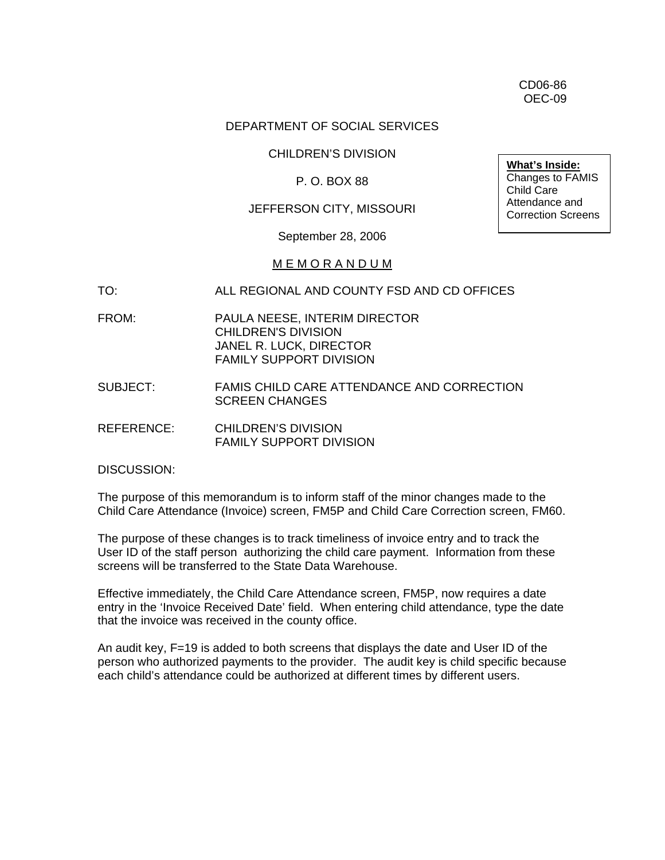CD06-86 OEC-09

### DEPARTMENT OF SOCIAL SERVICES

#### CHILDREN'S DIVISION

### P. O. BOX 88

## JEFFERSON CITY, MISSOURI

#### September 28, 2006

#### M E M O R A N D U M

#### TO: ALL REGIONAL AND COUNTY FSD AND CD OFFICES

- FROM: PAULA NEESE, INTERIM DIRECTOR CHILDREN'S DIVISION JANEL R. LUCK, DIRECTOR FAMILY SUPPORT DIVISION
- SUBJECT: FAMIS CHILD CARE ATTENDANCE AND CORRECTION SCREEN CHANGES
- REFERENCE: CHILDREN'S DIVISION FAMILY SUPPORT DIVISION

DISCUSSION:

The purpose of this memorandum is to inform staff of the minor changes made to the Child Care Attendance (Invoice) screen, FM5P and Child Care Correction screen, FM60.

The purpose of these changes is to track timeliness of invoice entry and to track the User ID of the staff person authorizing the child care payment. Information from these screens will be transferred to the State Data Warehouse.

Effective immediately, the Child Care Attendance screen, FM5P, now requires a date entry in the 'Invoice Received Date' field. When entering child attendance, type the date that the invoice was received in the county office.

An audit key, F=19 is added to both screens that displays the date and User ID of the person who authorized payments to the provider. The audit key is child specific because each child's attendance could be authorized at different times by different users.

**What's Inside:** Changes to FAMIS

Child Care Attendance and Correction Screens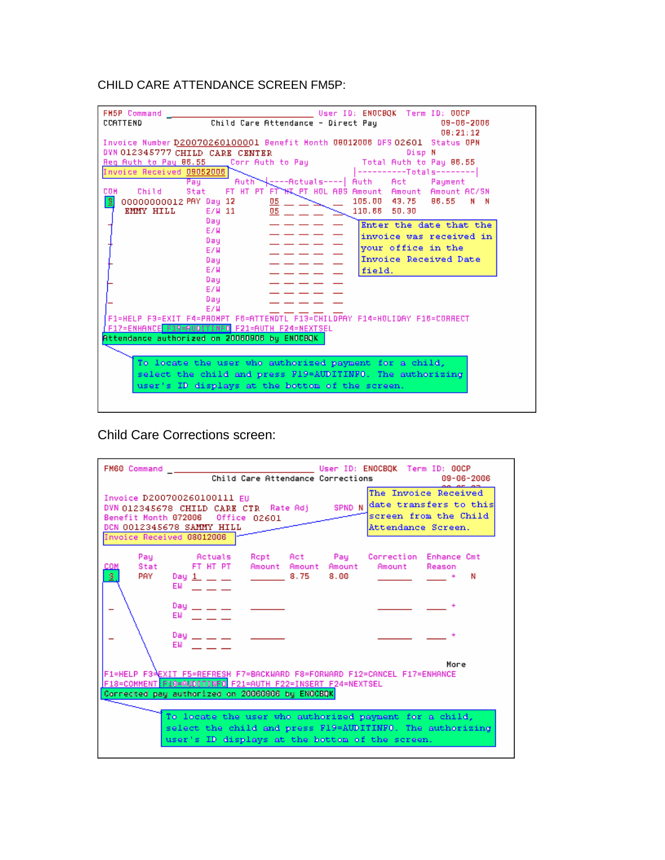# CHILD CARE ATTENDANCE SCREEN FM5P:

| User ID: ENOCBOK Term ID: OOCP<br><b>FH5P Command</b>                                                 |  |  |
|-------------------------------------------------------------------------------------------------------|--|--|
| Child Care Attendance - Direct Pay<br><b>CCATTEND</b><br>09-06-2006                                   |  |  |
| 08:21:12                                                                                              |  |  |
| Invoice Number D20070260100001 Benefit Honth 08012006 DFS 02601 Status OPN                            |  |  |
| DYN 012345777 CHILD CARE CENTER<br>Disp N                                                             |  |  |
| Total Auth to Pay 86.55<br>Reg Auth to Pay 86.55<br>Corr Auth to Pau                                  |  |  |
| Invoice Received 09052006<br>----------Totals--------                                                 |  |  |
| L----Actuals---- <br>Auth<br>Auth <sup>2</sup><br>- Act<br>Payment<br>Pau                             |  |  |
| FT HT PT FT HIL PT HOL ABS Amount Amount Amount AC/SN<br>Stat<br>COM<br>Child                         |  |  |
| $\overline{\mathbf{s}}$<br>105.00 43.75<br>86.55<br>00000000012 PAY Day 12<br>N<br><u>05</u> .<br>- N |  |  |
| <b>EMMY HILL</b><br>E/W 11<br>05<br>110.66 50.30                                                      |  |  |
| Dau<br>Enter the date that the                                                                        |  |  |
| E/W<br>invoice was received in                                                                        |  |  |
| Day<br>your office in the                                                                             |  |  |
| E/W<br>Invoice Received Date                                                                          |  |  |
| Day<br>E/W                                                                                            |  |  |
| field.<br>Day.                                                                                        |  |  |
| E/W                                                                                                   |  |  |
| Dau                                                                                                   |  |  |
| E/W                                                                                                   |  |  |
| F1=HELP F3=EXIT F4=PROHPT F6=ATTENDTL F13=CHILDPAY F14=HOLIDAY F16=CORRECT                            |  |  |
| F17=ENHANCE F19=AUDITINFO F21=AUTH F24=NEXTSEL                                                        |  |  |
| Attendance authorized on 20060906 by ENOCBQK                                                          |  |  |
|                                                                                                       |  |  |
| To locate the user who authorized payment for a child,                                                |  |  |
|                                                                                                       |  |  |
| select the child and press F19=AUDITINFO. The authorizing                                             |  |  |
| user's ID displays at the bottom of the screen.                                                       |  |  |
|                                                                                                       |  |  |

Child Care Corrections screen:

| FM60 Command Dealer and Dealer and Dealer<br>User ID: ENOCBOK Term ID: 00CP<br>Child Care Attendance Corrections<br>09-06-2006                                                                                                                                           |  |  |
|--------------------------------------------------------------------------------------------------------------------------------------------------------------------------------------------------------------------------------------------------------------------------|--|--|
| The Invoice Received<br>Invoice D200700260100111 EU<br>DVN 012345678 CHILD CARE CTR Rate Adj SPND N date transfers to this<br>screen from the Child<br>Benefit Month 072006 Office 02601<br>DCN 0012345678 SAMMY HILL<br>Attendance Screen.<br>Invoice Received 08012006 |  |  |
| Pay : Actuals Ropt Act Pay Correction Enhance.Cmt<br>Stat FT HT PT Amount Amount Amount Amount Reason<br>COM<br>\$,<br>PAY Day <u>1 _</u> _ _ _ _ _ _ 8.75<br>8.00<br>N<br>EM Andrea State                                                                               |  |  |
| Day $\_\_$ $\_\_$<br>$EW$ $=$ $ -$                                                                                                                                                                                                                                       |  |  |
| Day $- - -$<br>EW and the state of the state of the                                                                                                                                                                                                                      |  |  |
| More<br> F1=HELP F3≟EXIT F5 <u>=REFRES</u> H F7=BACKWARD F8=FORWARD F12=CANCEL F17=ENHANCE<br>F18=COMMENT F19=AUDITINFO F21=AUTH F22=INSERT F24=NEXTSEL<br>Corrected pay authorized on 20060906 by ENOCBQK                                                               |  |  |
| To locate the user who authorized payment for a child,<br>select the child and press F19=AUDITINFO. The authorizing<br>user's ID displays at the bottom of the screen.                                                                                                   |  |  |